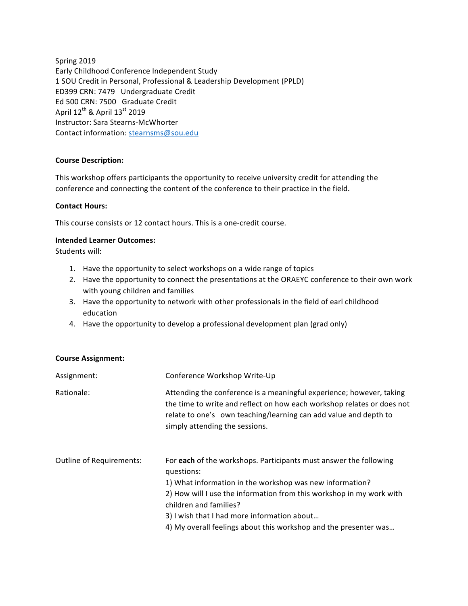Spring 2019 Early Childhood Conference Independent Study 1 SOU Credit in Personal, Professional & Leadership Development (PPLD) ED399 CRN: 7479 Undergraduate Credit Ed 500 CRN: 7500 Graduate Credit April  $12^{th}$  & April  $13^{st}$  2019 Instructor: Sara Stearns-McWhorter Contact information: stearnsms@sou.edu

## **Course Description:**

This workshop offers participants the opportunity to receive university credit for attending the conference and connecting the content of the conference to their practice in the field.

## **Contact Hours:**

This course consists or 12 contact hours. This is a one-credit course.

## **Intended Learner Outcomes:**

Students will:

- 1. Have the opportunity to select workshops on a wide range of topics
- 2. Have the opportunity to connect the presentations at the ORAEYC conference to their own work with young children and families
- 3. Have the opportunity to network with other professionals in the field of earl childhood education
- 4. Have the opportunity to develop a professional development plan (grad only)

#### **Course Assignment:**

| Assignment:              | Conference Workshop Write-Up                                                                                                                                                                                                                         |
|--------------------------|------------------------------------------------------------------------------------------------------------------------------------------------------------------------------------------------------------------------------------------------------|
| Rationale:               | Attending the conference is a meaningful experience; however, taking<br>the time to write and reflect on how each workshop relates or does not<br>relate to one's own teaching/learning can add value and depth to<br>simply attending the sessions. |
| Outline of Requirements: | For each of the workshops. Participants must answer the following<br>questions:<br>1) What information in the workshop was new information?                                                                                                          |
|                          | 2) How will I use the information from this workshop in my work with                                                                                                                                                                                 |
|                          | children and families?                                                                                                                                                                                                                               |
|                          | 3) I wish that I had more information about                                                                                                                                                                                                          |
|                          | 4) My overall feelings about this workshop and the presenter was                                                                                                                                                                                     |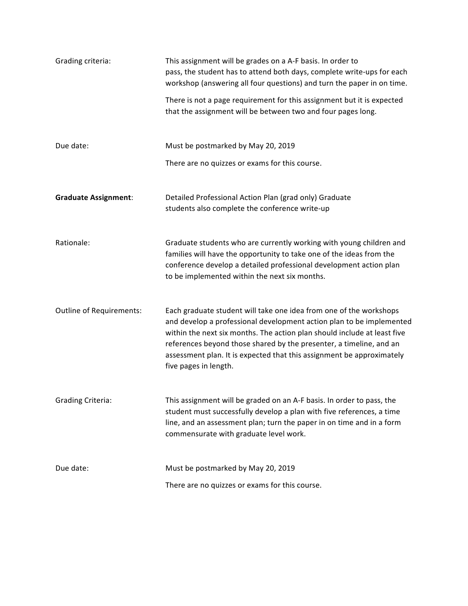| Grading criteria:               | This assignment will be grades on a A-F basis. In order to<br>pass, the student has to attend both days, complete write-ups for each<br>workshop (answering all four questions) and turn the paper in on time.                                                                                                                                                                                  |  |  |  |
|---------------------------------|-------------------------------------------------------------------------------------------------------------------------------------------------------------------------------------------------------------------------------------------------------------------------------------------------------------------------------------------------------------------------------------------------|--|--|--|
|                                 | There is not a page requirement for this assignment but it is expected<br>that the assignment will be between two and four pages long.                                                                                                                                                                                                                                                          |  |  |  |
| Due date:                       | Must be postmarked by May 20, 2019                                                                                                                                                                                                                                                                                                                                                              |  |  |  |
|                                 | There are no quizzes or exams for this course.                                                                                                                                                                                                                                                                                                                                                  |  |  |  |
| <b>Graduate Assignment:</b>     | Detailed Professional Action Plan (grad only) Graduate<br>students also complete the conference write-up                                                                                                                                                                                                                                                                                        |  |  |  |
| Rationale:                      | Graduate students who are currently working with young children and<br>families will have the opportunity to take one of the ideas from the<br>conference develop a detailed professional development action plan<br>to be implemented within the next six months.                                                                                                                              |  |  |  |
| <b>Outline of Requirements:</b> | Each graduate student will take one idea from one of the workshops<br>and develop a professional development action plan to be implemented<br>within the next six months. The action plan should include at least five<br>references beyond those shared by the presenter, a timeline, and an<br>assessment plan. It is expected that this assignment be approximately<br>five pages in length. |  |  |  |
| <b>Grading Criteria:</b>        | This assignment will be graded on an A-F basis. In order to pass, the<br>student must successfully develop a plan with five references, a time<br>line, and an assessment plan; turn the paper in on time and in a form<br>commensurate with graduate level work.                                                                                                                               |  |  |  |
| Due date:                       | Must be postmarked by May 20, 2019                                                                                                                                                                                                                                                                                                                                                              |  |  |  |
|                                 | There are no quizzes or exams for this course.                                                                                                                                                                                                                                                                                                                                                  |  |  |  |